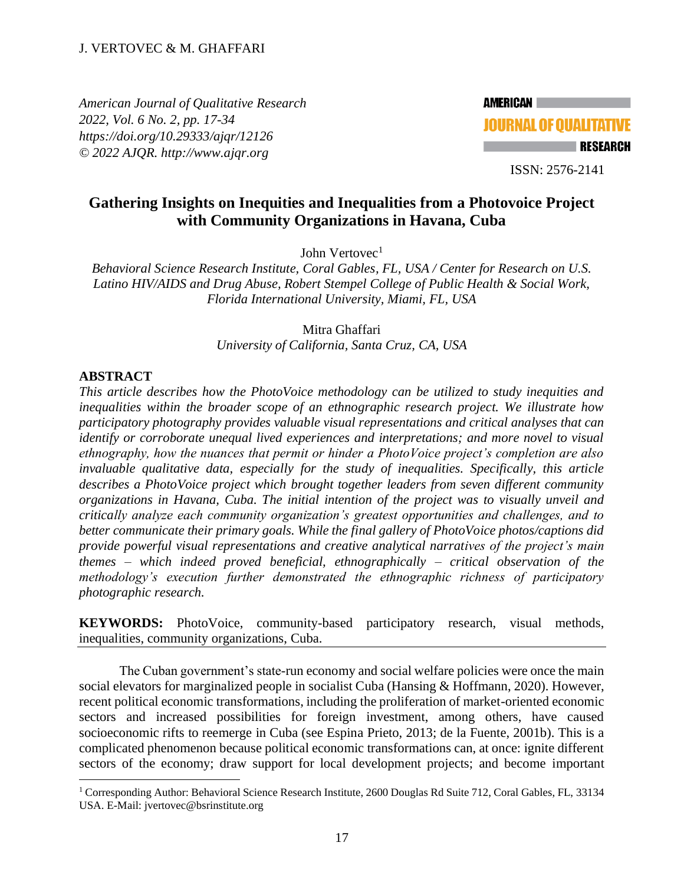*American Journal of Qualitative Research 2022, Vol. 6 No. 2, pp. 17-34 <https://doi.org/10.29333/ajqr/12126> © 2022 AJQR. http://www.ajqr.org*

**AMERICAN JOURNAL OF OUALITATIVE RESEARCH** 

ISSN: 2576-2141

# **Gathering Insights on Inequities and Inequalities from a Photovoice Project with Community Organizations in Havana, Cuba**

John Vertovec<sup>1</sup>

*Behavioral Science Research Institute, Coral Gables, FL, USA / Center for Research on U.S. Latino HIV/AIDS and Drug Abuse, Robert Stempel College of Public Health & Social Work, Florida International University, Miami, FL, USA*

> Mitra Ghaffari *University of California, Santa Cruz, CA, USA*

## **ABSTRACT**

*This article describes how the PhotoVoice methodology can be utilized to study inequities and inequalities within the broader scope of an ethnographic research project. We illustrate how participatory photography provides valuable visual representations and critical analyses that can identify or corroborate unequal lived experiences and interpretations; and more novel to visual ethnography, how the nuances that permit or hinder a PhotoVoice project's completion are also invaluable qualitative data, especially for the study of inequalities. Specifically, this article describes a PhotoVoice project which brought together leaders from seven different community organizations in Havana, Cuba. The initial intention of the project was to visually unveil and critically analyze each community organization's greatest opportunities and challenges, and to better communicate their primary goals. While the final gallery of PhotoVoice photos/captions did provide powerful visual representations and creative analytical narratives of the project's main themes – which indeed proved beneficial, ethnographically – critical observation of the methodology's execution further demonstrated the ethnographic richness of participatory photographic research.*

**KEYWORDS:** PhotoVoice, community-based participatory research, visual methods, inequalities, community organizations, Cuba.

The Cuban government's state-run economy and social welfare policies were once the main social elevators for marginalized people in socialist Cuba (Hansing & Hoffmann, 2020). However, recent political economic transformations, including the proliferation of market-oriented economic sectors and increased possibilities for foreign investment, among others, have caused socioeconomic rifts to reemerge in Cuba (see Espina Prieto, 2013; de la Fuente, 2001b). This is a complicated phenomenon because political economic transformations can, at once: ignite different sectors of the economy; draw support for local development projects; and become important

<sup>&</sup>lt;sup>1</sup> Corresponding Author: Behavioral Science Research Institute, 2600 Douglas Rd Suite 712, Coral Gables, FL, 33134 USA. E-Mail: jvertovec@bsrinstitute.org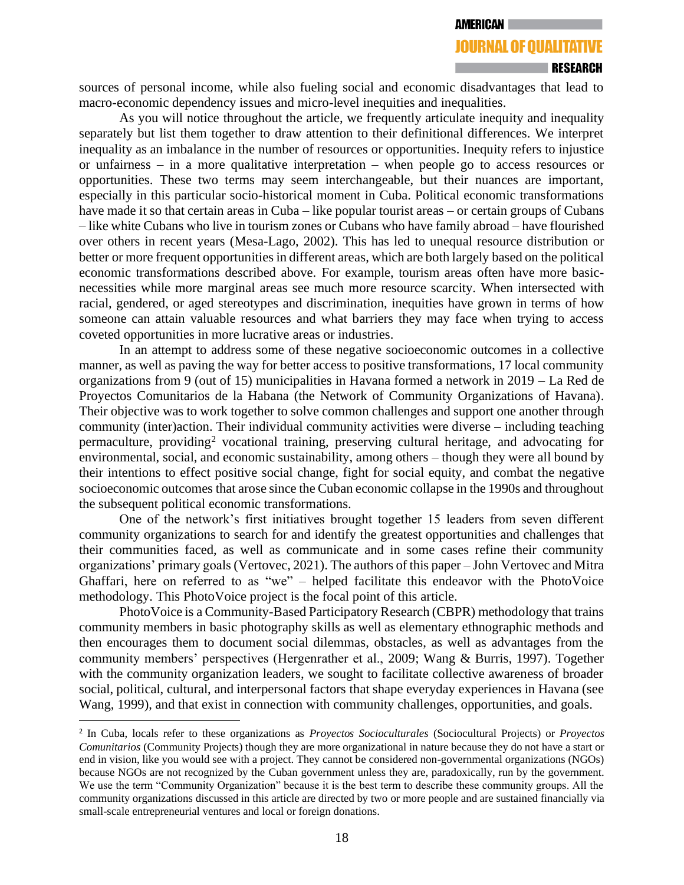#### **RESEARCH**

sources of personal income, while also fueling social and economic disadvantages that lead to macro-economic dependency issues and micro-level inequities and inequalities.

As you will notice throughout the article, we frequently articulate inequity and inequality separately but list them together to draw attention to their definitional differences. We interpret inequality as an imbalance in the number of resources or opportunities. Inequity refers to injustice or unfairness – in a more qualitative interpretation – when people go to access resources or opportunities. These two terms may seem interchangeable, but their nuances are important, especially in this particular socio-historical moment in Cuba. Political economic transformations have made it so that certain areas in Cuba – like popular tourist areas – or certain groups of Cubans – like white Cubans who live in tourism zones or Cubans who have family abroad – have flourished over others in recent years (Mesa-Lago, 2002). This has led to unequal resource distribution or better or more frequent opportunities in different areas, which are both largely based on the political economic transformations described above. For example, tourism areas often have more basicnecessities while more marginal areas see much more resource scarcity. When intersected with racial, gendered, or aged stereotypes and discrimination, inequities have grown in terms of how someone can attain valuable resources and what barriers they may face when trying to access coveted opportunities in more lucrative areas or industries.

In an attempt to address some of these negative socioeconomic outcomes in a collective manner, as well as paving the way for better access to positive transformations, 17 local community organizations from 9 (out of 15) municipalities in Havana formed a network in 2019 – La Red de Proyectos Comunitarios de la Habana (the Network of Community Organizations of Havana). Their objective was to work together to solve common challenges and support one another through community (inter)action. Their individual community activities were diverse – including teaching permaculture, providing<sup>2</sup> vocational training, preserving cultural heritage, and advocating for environmental, social, and economic sustainability, among others – though they were all bound by their intentions to effect positive social change, fight for social equity, and combat the negative socioeconomic outcomes that arose since the Cuban economic collapse in the 1990s and throughout the subsequent political economic transformations.

One of the network's first initiatives brought together 15 leaders from seven different community organizations to search for and identify the greatest opportunities and challenges that their communities faced, as well as communicate and in some cases refine their community organizations' primary goals (Vertovec, 2021). The authors of this paper – John Vertovec and Mitra Ghaffari, here on referred to as "we" – helped facilitate this endeavor with the PhotoVoice methodology. This PhotoVoice project is the focal point of this article.

PhotoVoice is a Community-Based Participatory Research (CBPR) methodology that trains community members in basic photography skills as well as elementary ethnographic methods and then encourages them to document social dilemmas, obstacles, as well as advantages from the community members' perspectives (Hergenrather et al., 2009; Wang & Burris, 1997). Together with the community organization leaders, we sought to facilitate collective awareness of broader social, political, cultural, and interpersonal factors that shape everyday experiences in Havana (see Wang, 1999), and that exist in connection with community challenges, opportunities, and goals.

<sup>2</sup> In Cuba, locals refer to these organizations as *Proyectos Socioculturales* (Sociocultural Projects) or *Proyectos Comunitarios* (Community Projects) though they are more organizational in nature because they do not have a start or end in vision, like you would see with a project. They cannot be considered non-governmental organizations (NGOs) because NGOs are not recognized by the Cuban government unless they are, paradoxically, run by the government. We use the term "Community Organization" because it is the best term to describe these community groups. All the community organizations discussed in this article are directed by two or more people and are sustained financially via small-scale entrepreneurial ventures and local or foreign donations.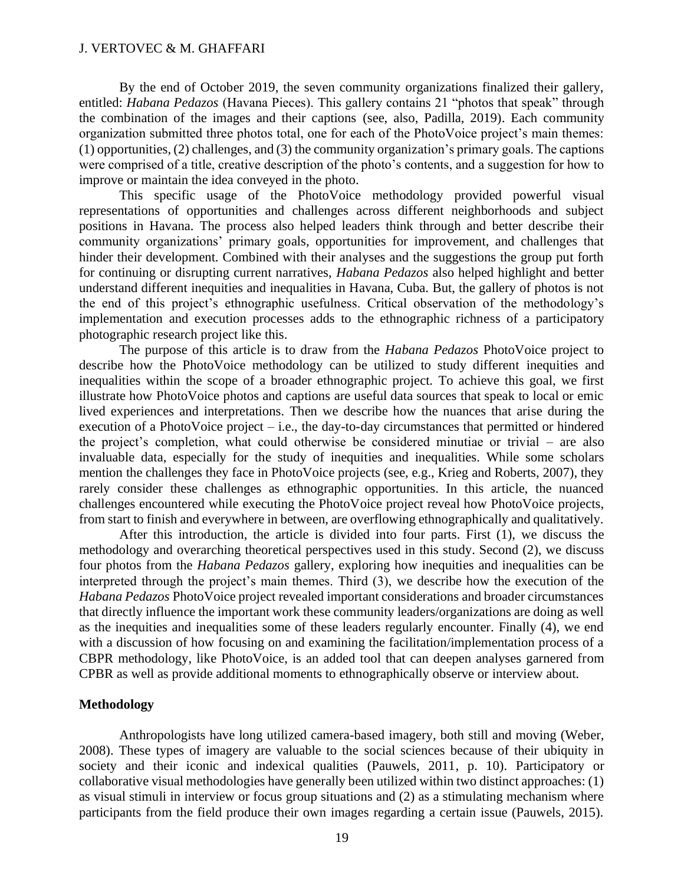By the end of October 2019, the seven community organizations finalized their gallery, entitled: *Habana Pedazos* (Havana Pieces). This gallery contains 21 "photos that speak" through the combination of the images and their captions (see, also, Padilla, 2019). Each community organization submitted three photos total, one for each of the PhotoVoice project's main themes: (1) opportunities, (2) challenges, and (3) the community organization's primary goals. The captions were comprised of a title, creative description of the photo's contents, and a suggestion for how to improve or maintain the idea conveyed in the photo.

This specific usage of the PhotoVoice methodology provided powerful visual representations of opportunities and challenges across different neighborhoods and subject positions in Havana. The process also helped leaders think through and better describe their community organizations' primary goals, opportunities for improvement, and challenges that hinder their development. Combined with their analyses and the suggestions the group put forth for continuing or disrupting current narratives, *Habana Pedazos* also helped highlight and better understand different inequities and inequalities in Havana, Cuba. But, the gallery of photos is not the end of this project's ethnographic usefulness. Critical observation of the methodology's implementation and execution processes adds to the ethnographic richness of a participatory photographic research project like this.

The purpose of this article is to draw from the *Habana Pedazos* PhotoVoice project to describe how the PhotoVoice methodology can be utilized to study different inequities and inequalities within the scope of a broader ethnographic project. To achieve this goal, we first illustrate how PhotoVoice photos and captions are useful data sources that speak to local or emic lived experiences and interpretations. Then we describe how the nuances that arise during the execution of a PhotoVoice project – i.e., the day-to-day circumstances that permitted or hindered the project's completion, what could otherwise be considered minutiae or trivial – are also invaluable data, especially for the study of inequities and inequalities. While some scholars mention the challenges they face in PhotoVoice projects (see, e.g., Krieg and Roberts, 2007), they rarely consider these challenges as ethnographic opportunities. In this article, the nuanced challenges encountered while executing the PhotoVoice project reveal how PhotoVoice projects, from start to finish and everywhere in between, are overflowing ethnographically and qualitatively.

After this introduction, the article is divided into four parts. First (1), we discuss the methodology and overarching theoretical perspectives used in this study. Second (2), we discuss four photos from the *Habana Pedazos* gallery, exploring how inequities and inequalities can be interpreted through the project's main themes. Third (3), we describe how the execution of the *Habana Pedazos* PhotoVoice project revealed important considerations and broader circumstances that directly influence the important work these community leaders/organizations are doing as well as the inequities and inequalities some of these leaders regularly encounter. Finally (4), we end with a discussion of how focusing on and examining the facilitation/implementation process of a CBPR methodology, like PhotoVoice, is an added tool that can deepen analyses garnered from CPBR as well as provide additional moments to ethnographically observe or interview about.

## **Methodology**

Anthropologists have long utilized camera-based imagery, both still and moving (Weber, 2008). These types of imagery are valuable to the social sciences because of their ubiquity in society and their iconic and indexical qualities (Pauwels, 2011, p. 10). Participatory or collaborative visual methodologies have generally been utilized within two distinct approaches: (1) as visual stimuli in interview or focus group situations and (2) as a stimulating mechanism where participants from the field produce their own images regarding a certain issue (Pauwels, 2015).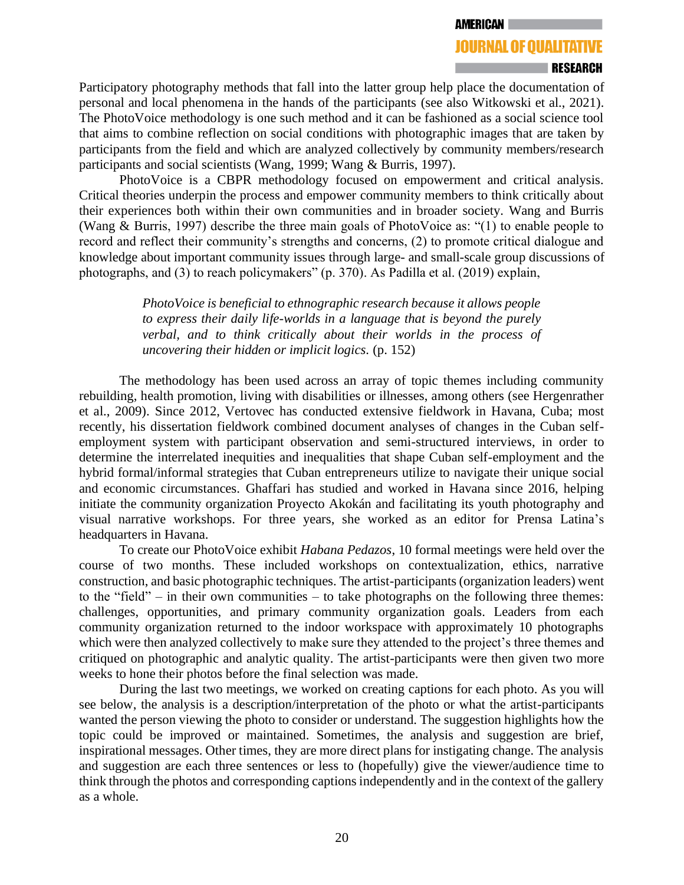#### **RESEARCH**

Participatory photography methods that fall into the latter group help place the documentation of personal and local phenomena in the hands of the participants (see also Witkowski et al., 2021). The PhotoVoice methodology is one such method and it can be fashioned as a social science tool that aims to combine reflection on social conditions with photographic images that are taken by participants from the field and which are analyzed collectively by community members/research participants and social scientists (Wang, 1999; Wang & Burris, 1997).

PhotoVoice is a CBPR methodology focused on empowerment and critical analysis. Critical theories underpin the process and empower community members to think critically about their experiences both within their own communities and in broader society. Wang and Burris (Wang & Burris, 1997) describe the three main goals of PhotoVoice as: "(1) to enable people to record and reflect their community's strengths and concerns, (2) to promote critical dialogue and knowledge about important community issues through large- and small-scale group discussions of photographs, and (3) to reach policymakers" (p. 370). As Padilla et al. (2019) explain,

> *PhotoVoice is beneficial to ethnographic research because it allows people to express their daily life-worlds in a language that is beyond the purely verbal, and to think critically about their worlds in the process of uncovering their hidden or implicit logics.* (p. 152)

The methodology has been used across an array of topic themes including community rebuilding, health promotion, living with disabilities or illnesses, among others (see Hergenrather et al., 2009). Since 2012, Vertovec has conducted extensive fieldwork in Havana, Cuba; most recently, his dissertation fieldwork combined document analyses of changes in the Cuban selfemployment system with participant observation and semi-structured interviews, in order to determine the interrelated inequities and inequalities that shape Cuban self-employment and the hybrid formal/informal strategies that Cuban entrepreneurs utilize to navigate their unique social and economic circumstances. Ghaffari has studied and worked in Havana since 2016, helping initiate the community organization Proyecto Akokán and facilitating its youth photography and visual narrative workshops. For three years, she worked as an editor for Prensa Latina's headquarters in Havana.

To create our PhotoVoice exhibit *Habana Pedazos*, 10 formal meetings were held over the course of two months. These included workshops on contextualization, ethics, narrative construction, and basic photographic techniques. The artist-participants (organization leaders) went to the "field" – in their own communities – to take photographs on the following three themes: challenges, opportunities, and primary community organization goals. Leaders from each community organization returned to the indoor workspace with approximately 10 photographs which were then analyzed collectively to make sure they attended to the project's three themes and critiqued on photographic and analytic quality. The artist-participants were then given two more weeks to hone their photos before the final selection was made.

During the last two meetings, we worked on creating captions for each photo. As you will see below, the analysis is a description/interpretation of the photo or what the artist-participants wanted the person viewing the photo to consider or understand. The suggestion highlights how the topic could be improved or maintained. Sometimes, the analysis and suggestion are brief, inspirational messages. Other times, they are more direct plans for instigating change. The analysis and suggestion are each three sentences or less to (hopefully) give the viewer/audience time to think through the photos and corresponding captions independently and in the context of the gallery as a whole.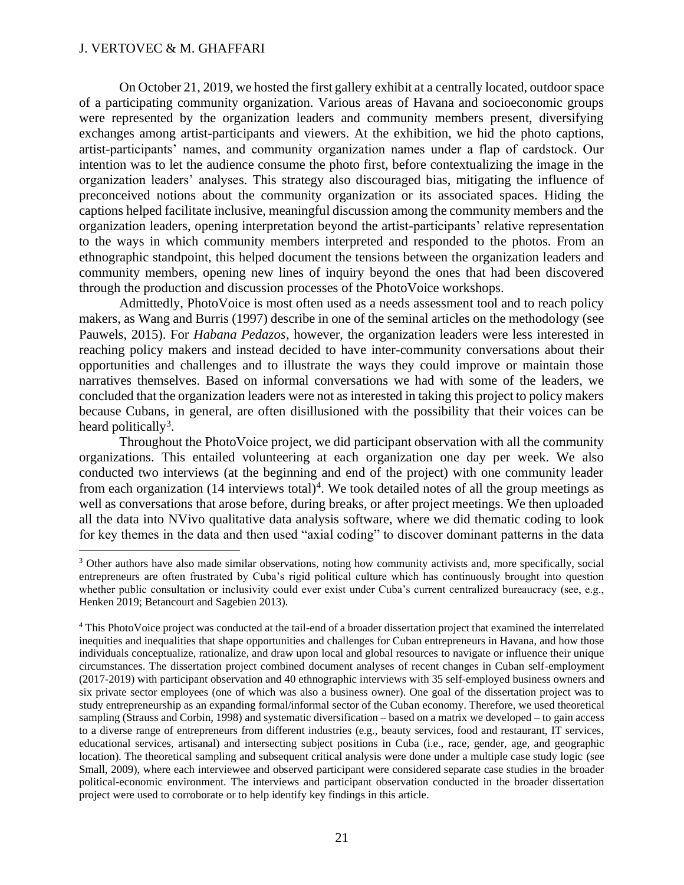On October 21, 2019, we hosted the first gallery exhibit at a centrally located, outdoor space of a participating community organization. Various areas of Havana and socioeconomic groups were represented by the organization leaders and community members present, diversifying exchanges among artist-participants and viewers. At the exhibition, we hid the photo captions, artist-participants' names, and community organization names under a flap of cardstock. Our intention was to let the audience consume the photo first, before contextualizing the image in the organization leaders' analyses. This strategy also discouraged bias, mitigating the influence of preconceived notions about the community organization or its associated spaces. Hiding the captions helped facilitate inclusive, meaningful discussion among the community members and the organization leaders, opening interpretation beyond the artist-participants' relative representation to the ways in which community members interpreted and responded to the photos. From an ethnographic standpoint, this helped document the tensions between the organization leaders and community members, opening new lines of inquiry beyond the ones that had been discovered through the production and discussion processes of the PhotoVoice workshops.

Admittedly, PhotoVoice is most often used as a needs assessment tool and to reach policy makers, as Wang and Burris (1997) describe in one of the seminal articles on the methodology (see Pauwels, 2015). For *Habana Pedazos*, however, the organization leaders were less interested in reaching policy makers and instead decided to have inter-community conversations about their opportunities and challenges and to illustrate the ways they could improve or maintain those narratives themselves. Based on informal conversations we had with some of the leaders, we concluded that the organization leaders were not as interested in taking this project to policy makers because Cubans, in general, are often disillusioned with the possibility that their voices can be heard politically<sup>3</sup>.

Throughout the PhotoVoice project, we did participant observation with all the community organizations. This entailed volunteering at each organization one day per week. We also conducted two interviews (at the beginning and end of the project) with one community leader from each organization  $(14$  interviews total)<sup>4</sup>. We took detailed notes of all the group meetings as well as conversations that arose before, during breaks, or after project meetings. We then uploaded all the data into NVivo qualitative data analysis software, where we did thematic coding to look for key themes in the data and then used "axial coding" to discover dominant patterns in the data

<sup>3</sup> Other authors have also made similar observations, noting how community activists and, more specifically, social entrepreneurs are often frustrated by Cuba's rigid political culture which has continuously brought into question whether public consultation or inclusivity could ever exist under Cuba's current centralized bureaucracy (see, e.g., Henken 2019; Betancourt and Sagebien 2013).

<sup>4</sup> This PhotoVoice project was conducted at the tail-end of a broader dissertation project that examined the interrelated inequities and inequalities that shape opportunities and challenges for Cuban entrepreneurs in Havana, and how those individuals conceptualize, rationalize, and draw upon local and global resources to navigate or influence their unique circumstances. The dissertation project combined document analyses of recent changes in Cuban self-employment (2017-2019) with participant observation and 40 ethnographic interviews with 35 self-employed business owners and six private sector employees (one of which was also a business owner). One goal of the dissertation project was to study entrepreneurship as an expanding formal/informal sector of the Cuban economy. Therefore, we used theoretical sampling (Strauss and Corbin, 1998) and systematic diversification – based on a matrix we developed – to gain access to a diverse range of entrepreneurs from different industries (e.g., beauty services, food and restaurant, IT services, educational services, artisanal) and intersecting subject positions in Cuba (i.e., race, gender, age, and geographic location). The theoretical sampling and subsequent critical analysis were done under a multiple case study logic (see Small, 2009), where each interviewee and observed participant were considered separate case studies in the broader political-economic environment. The interviews and participant observation conducted in the broader dissertation project were used to corroborate or to help identify key findings in this article.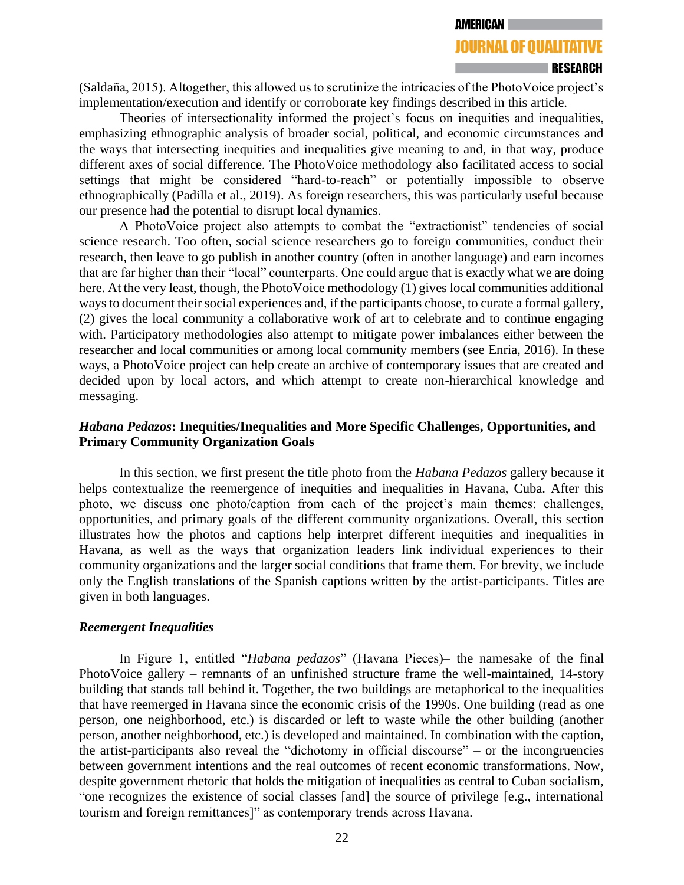AMERICAN

# **JOURNAL OF QUALITATIVE**

#### **RESEARCH**

(Saldaña, 2015). Altogether, this allowed us to scrutinize the intricacies of the PhotoVoice project's implementation/execution and identify or corroborate key findings described in this article.

Theories of intersectionality informed the project's focus on inequities and inequalities, emphasizing ethnographic analysis of broader social, political, and economic circumstances and the ways that intersecting inequities and inequalities give meaning to and, in that way, produce different axes of social difference. The PhotoVoice methodology also facilitated access to social settings that might be considered "hard-to-reach" or potentially impossible to observe ethnographically (Padilla et al., 2019). As foreign researchers, this was particularly useful because our presence had the potential to disrupt local dynamics.

A PhotoVoice project also attempts to combat the "extractionist" tendencies of social science research. Too often, social science researchers go to foreign communities, conduct their research, then leave to go publish in another country (often in another language) and earn incomes that are far higher than their "local" counterparts. One could argue that is exactly what we are doing here. At the very least, though, the PhotoVoice methodology (1) gives local communities additional ways to document their social experiences and, if the participants choose, to curate a formal gallery, (2) gives the local community a collaborative work of art to celebrate and to continue engaging with. Participatory methodologies also attempt to mitigate power imbalances either between the researcher and local communities or among local community members (see Enria, 2016). In these ways, a PhotoVoice project can help create an archive of contemporary issues that are created and decided upon by local actors, and which attempt to create non-hierarchical knowledge and messaging.

# *Habana Pedazos***: Inequities/Inequalities and More Specific Challenges, Opportunities, and Primary Community Organization Goals**

In this section, we first present the title photo from the *Habana Pedazos* gallery because it helps contextualize the reemergence of inequities and inequalities in Havana, Cuba. After this photo, we discuss one photo/caption from each of the project's main themes: challenges, opportunities, and primary goals of the different community organizations. Overall, this section illustrates how the photos and captions help interpret different inequities and inequalities in Havana, as well as the ways that organization leaders link individual experiences to their community organizations and the larger social conditions that frame them. For brevity, we include only the English translations of the Spanish captions written by the artist-participants. Titles are given in both languages.

# *Reemergent Inequalities*

In Figure 1, entitled "*Habana pedazos*" (Havana Pieces)– the namesake of the final PhotoVoice gallery – remnants of an unfinished structure frame the well-maintained, 14-story building that stands tall behind it. Together, the two buildings are metaphorical to the inequalities that have reemerged in Havana since the economic crisis of the 1990s. One building (read as one person, one neighborhood, etc.) is discarded or left to waste while the other building (another person, another neighborhood, etc.) is developed and maintained. In combination with the caption, the artist-participants also reveal the "dichotomy in official discourse" – or the incongruencies between government intentions and the real outcomes of recent economic transformations. Now, despite government rhetoric that holds the mitigation of inequalities as central to Cuban socialism, "one recognizes the existence of social classes [and] the source of privilege [e.g., international tourism and foreign remittances]" as contemporary trends across Havana.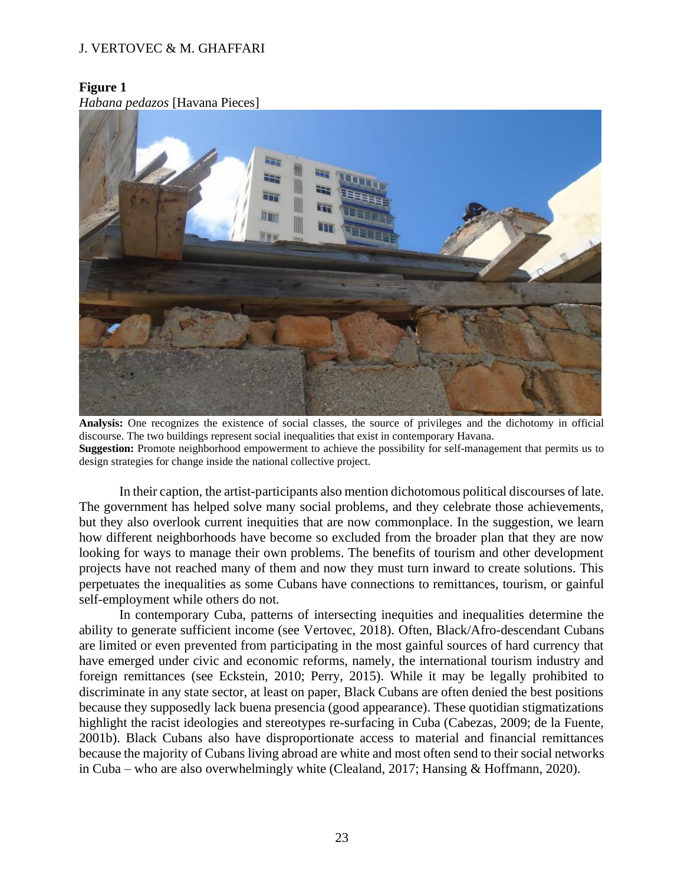# **Figure 1**

*Habana pedazos* [Havana Pieces]



**Analysis:** One recognizes the existence of social classes, the source of privileges and the dichotomy in official discourse. The two buildings represent social inequalities that exist in contemporary Havana. **Suggestion:** Promote neighborhood empowerment to achieve the possibility for self-management that permits us to design strategies for change inside the national collective project.

In their caption, the artist-participants also mention dichotomous political discourses of late. The government has helped solve many social problems, and they celebrate those achievements, but they also overlook current inequities that are now commonplace. In the suggestion, we learn how different neighborhoods have become so excluded from the broader plan that they are now looking for ways to manage their own problems. The benefits of tourism and other development projects have not reached many of them and now they must turn inward to create solutions. This perpetuates the inequalities as some Cubans have connections to remittances, tourism, or gainful self-employment while others do not.

In contemporary Cuba, patterns of intersecting inequities and inequalities determine the ability to generate sufficient income (see Vertovec, 2018). Often, Black/Afro-descendant Cubans are limited or even prevented from participating in the most gainful sources of hard currency that have emerged under civic and economic reforms, namely, the international tourism industry and foreign remittances (see Eckstein, 2010; Perry, 2015). While it may be legally prohibited to discriminate in any state sector, at least on paper, Black Cubans are often denied the best positions because they supposedly lack buena presencia (good appearance). These quotidian stigmatizations highlight the racist ideologies and stereotypes re-surfacing in Cuba (Cabezas, 2009; de la Fuente, 2001b). Black Cubans also have disproportionate access to material and financial remittances because the majority of Cubans living abroad are white and most often send to their social networks in Cuba – who are also overwhelmingly white (Clealand, 2017; Hansing & Hoffmann, 2020).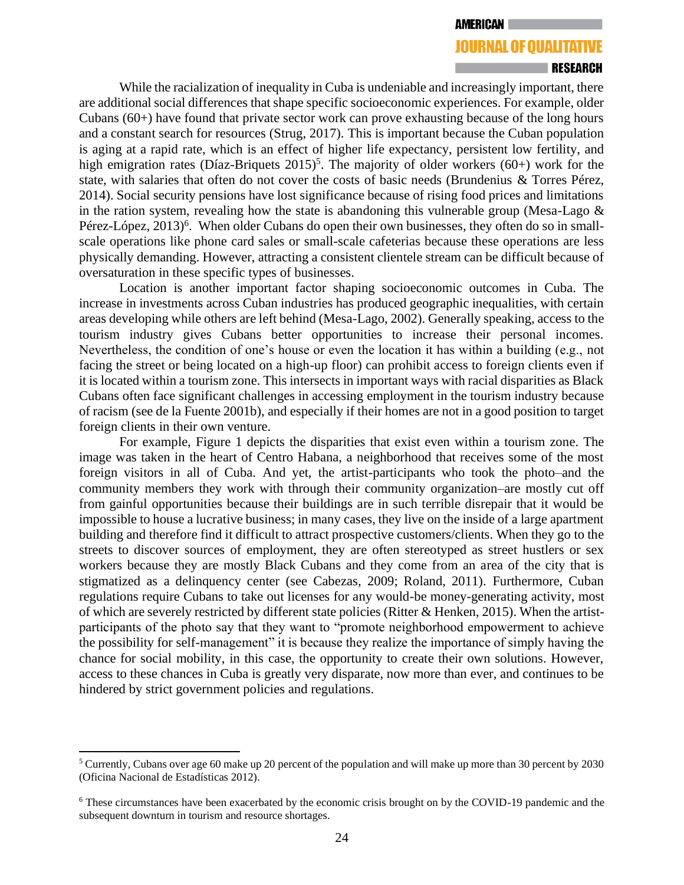#### **RESEARCH**

While the racialization of inequality in Cuba is undeniable and increasingly important, there are additional social differences that shape specific socioeconomic experiences. For example, older Cubans (60+) have found that private sector work can prove exhausting because of the long hours and a constant search for resources (Strug, 2017). This is important because the Cuban population is aging at a rapid rate, which is an effect of higher life expectancy, persistent low fertility, and high emigration rates (Díaz-Briquets  $2015$ <sup>5</sup>. The majority of older workers (60+) work for the state, with salaries that often do not cover the costs of basic needs (Brundenius & Torres Pérez, 2014). Social security pensions have lost significance because of rising food prices and limitations in the ration system, revealing how the state is abandoning this vulnerable group (Mesa-Lago  $\&$ Pérez-López, 2013)<sup>6</sup>. When older Cubans do open their own businesses, they often do so in smallscale operations like phone card sales or small-scale cafeterias because these operations are less physically demanding. However, attracting a consistent clientele stream can be difficult because of oversaturation in these specific types of businesses.

Location is another important factor shaping socioeconomic outcomes in Cuba. The increase in investments across Cuban industries has produced geographic inequalities, with certain areas developing while others are left behind (Mesa-Lago, 2002). Generally speaking, access to the tourism industry gives Cubans better opportunities to increase their personal incomes. Nevertheless, the condition of one's house or even the location it has within a building (e.g., not facing the street or being located on a high-up floor) can prohibit access to foreign clients even if it is located within a tourism zone. This intersects in important ways with racial disparities as Black Cubans often face significant challenges in accessing employment in the tourism industry because of racism (see de la Fuente 2001b), and especially if their homes are not in a good position to target foreign clients in their own venture.

For example, Figure 1 depicts the disparities that exist even within a tourism zone. The image was taken in the heart of Centro Habana, a neighborhood that receives some of the most foreign visitors in all of Cuba. And yet, the artist-participants who took the photo–and the community members they work with through their community organization–are mostly cut off from gainful opportunities because their buildings are in such terrible disrepair that it would be impossible to house a lucrative business; in many cases, they live on the inside of a large apartment building and therefore find it difficult to attract prospective customers/clients. When they go to the streets to discover sources of employment, they are often stereotyped as street hustlers or sex workers because they are mostly Black Cubans and they come from an area of the city that is stigmatized as a delinquency center (see Cabezas, 2009; Roland, 2011). Furthermore, Cuban regulations require Cubans to take out licenses for any would-be money-generating activity, most of which are severely restricted by different state policies (Ritter & Henken, 2015). When the artistparticipants of the photo say that they want to "promote neighborhood empowerment to achieve the possibility for self-management" it is because they realize the importance of simply having the chance for social mobility, in this case, the opportunity to create their own solutions. However, access to these chances in Cuba is greatly very disparate, now more than ever, and continues to be hindered by strict government policies and regulations.

<sup>&</sup>lt;sup>5</sup> Currently, Cubans over age 60 make up 20 percent of the population and will make up more than 30 percent by 2030 (Oficina Nacional de Estadísticas 2012).

<sup>6</sup> These circumstances have been exacerbated by the economic crisis brought on by the COVID-19 pandemic and the subsequent downturn in tourism and resource shortages.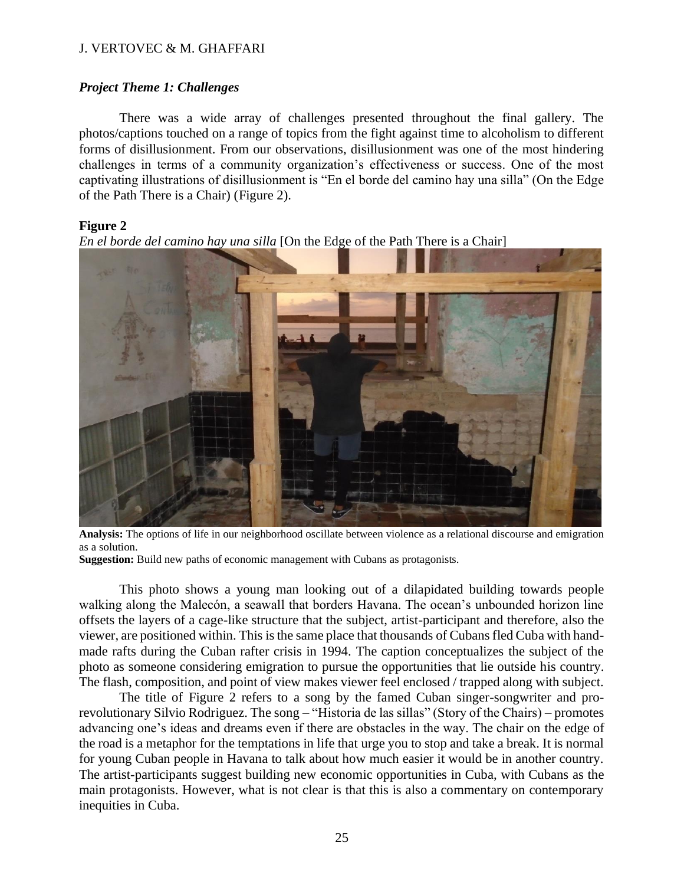## *Project Theme 1: Challenges*

There was a wide array of challenges presented throughout the final gallery. The photos/captions touched on a range of topics from the fight against time to alcoholism to different forms of disillusionment. From our observations, disillusionment was one of the most hindering challenges in terms of a community organization's effectiveness or success. One of the most captivating illustrations of disillusionment is "En el borde del camino hay una silla" (On the Edge of the Path There is a Chair) (Figure 2).

## **Figure 2**

*En el borde del camino hay una silla* [On the Edge of the Path There is a Chair]



**Analysis:** The options of life in our neighborhood oscillate between violence as a relational discourse and emigration as a solution.

**Suggestion:** Build new paths of economic management with Cubans as protagonists.

This photo shows a young man looking out of a dilapidated building towards people walking along the Malecón, a seawall that borders Havana. The ocean's unbounded horizon line offsets the layers of a cage-like structure that the subject, artist-participant and therefore, also the viewer, are positioned within. This is the same place that thousands of Cubans fled Cuba with handmade rafts during the Cuban rafter crisis in 1994. The caption conceptualizes the subject of the photo as someone considering emigration to pursue the opportunities that lie outside his country. The flash, composition, and point of view makes viewer feel enclosed / trapped along with subject.

The title of Figure 2 refers to a song by the famed Cuban singer-songwriter and prorevolutionary Silvio Rodriguez. The song – "Historia de las sillas" (Story of the Chairs) – promotes advancing one's ideas and dreams even if there are obstacles in the way. The chair on the edge of the road is a metaphor for the temptations in life that urge you to stop and take a break. It is normal for young Cuban people in Havana to talk about how much easier it would be in another country. The artist-participants suggest building new economic opportunities in Cuba, with Cubans as the main protagonists. However, what is not clear is that this is also a commentary on contemporary inequities in Cuba.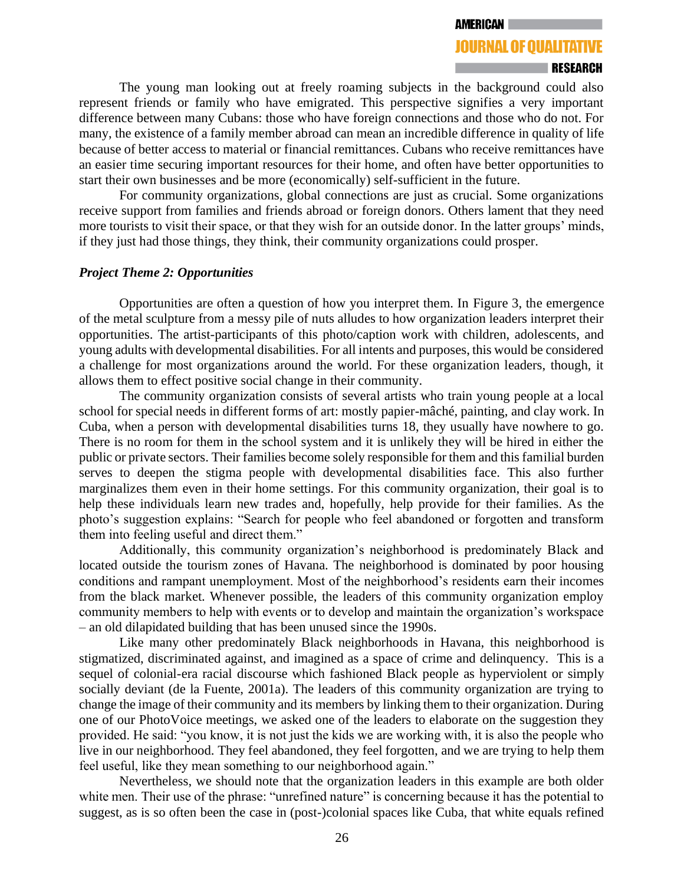#### **AMERICAN**

# **JOURNAL OF QUALITATIVE**

### **RESEARCH**

The young man looking out at freely roaming subjects in the background could also represent friends or family who have emigrated. This perspective signifies a very important difference between many Cubans: those who have foreign connections and those who do not. For many, the existence of a family member abroad can mean an incredible difference in quality of life because of better access to material or financial remittances. Cubans who receive remittances have an easier time securing important resources for their home, and often have better opportunities to start their own businesses and be more (economically) self-sufficient in the future.

For community organizations, global connections are just as crucial. Some organizations receive support from families and friends abroad or foreign donors. Others lament that they need more tourists to visit their space, or that they wish for an outside donor. In the latter groups' minds, if they just had those things, they think, their community organizations could prosper.

### *Project Theme 2: Opportunities*

Opportunities are often a question of how you interpret them. In Figure 3, the emergence of the metal sculpture from a messy pile of nuts alludes to how organization leaders interpret their opportunities. The artist-participants of this photo/caption work with children, adolescents, and young adults with developmental disabilities. For all intents and purposes, this would be considered a challenge for most organizations around the world. For these organization leaders, though, it allows them to effect positive social change in their community.

The community organization consists of several artists who train young people at a local school for special needs in different forms of art: mostly papier-mâché, painting, and clay work. In Cuba, when a person with developmental disabilities turns 18, they usually have nowhere to go. There is no room for them in the school system and it is unlikely they will be hired in either the public or private sectors. Their families become solely responsible for them and this familial burden serves to deepen the stigma people with developmental disabilities face. This also further marginalizes them even in their home settings. For this community organization, their goal is to help these individuals learn new trades and, hopefully, help provide for their families. As the photo's suggestion explains: "Search for people who feel abandoned or forgotten and transform them into feeling useful and direct them."

Additionally, this community organization's neighborhood is predominately Black and located outside the tourism zones of Havana. The neighborhood is dominated by poor housing conditions and rampant unemployment. Most of the neighborhood's residents earn their incomes from the black market. Whenever possible, the leaders of this community organization employ community members to help with events or to develop and maintain the organization's workspace – an old dilapidated building that has been unused since the 1990s.

Like many other predominately Black neighborhoods in Havana, this neighborhood is stigmatized, discriminated against, and imagined as a space of crime and delinquency. This is a sequel of colonial-era racial discourse which fashioned Black people as hyperviolent or simply socially deviant (de la Fuente, 2001a). The leaders of this community organization are trying to change the image of their community and its members by linking them to their organization. During one of our PhotoVoice meetings, we asked one of the leaders to elaborate on the suggestion they provided. He said: "you know, it is not just the kids we are working with, it is also the people who live in our neighborhood. They feel abandoned, they feel forgotten, and we are trying to help them feel useful, like they mean something to our neighborhood again."

Nevertheless, we should note that the organization leaders in this example are both older white men. Their use of the phrase: "unrefined nature" is concerning because it has the potential to suggest, as is so often been the case in (post-)colonial spaces like Cuba, that white equals refined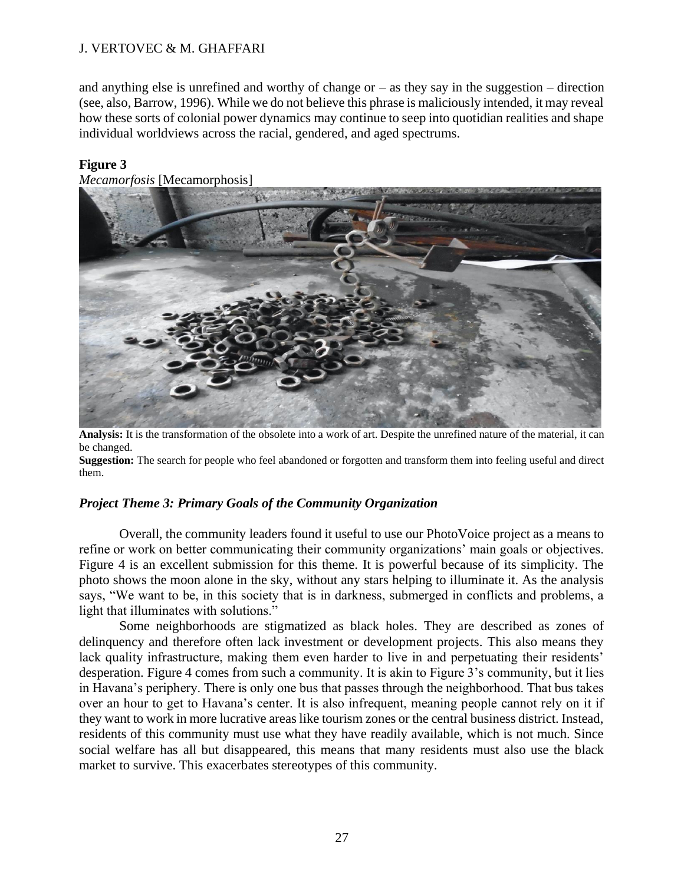and anything else is unrefined and worthy of change or  $-$  as they say in the suggestion  $-$  direction (see, also, Barrow, 1996). While we do not believe this phrase is maliciously intended, it may reveal how these sorts of colonial power dynamics may continue to seep into quotidian realities and shape individual worldviews across the racial, gendered, and aged spectrums.

# **Figure 3**

*Mecamorfosis* [Mecamorphosis]



**Analysis:** It is the transformation of the obsolete into a work of art. Despite the unrefined nature of the material, it can be changed.

**Suggestion:** The search for people who feel abandoned or forgotten and transform them into feeling useful and direct them.

# *Project Theme 3: Primary Goals of the Community Organization*

Overall, the community leaders found it useful to use our PhotoVoice project as a means to refine or work on better communicating their community organizations' main goals or objectives. Figure 4 is an excellent submission for this theme. It is powerful because of its simplicity. The photo shows the moon alone in the sky, without any stars helping to illuminate it. As the analysis says, "We want to be, in this society that is in darkness, submerged in conflicts and problems, a light that illuminates with solutions."

Some neighborhoods are stigmatized as black holes. They are described as zones of delinquency and therefore often lack investment or development projects. This also means they lack quality infrastructure, making them even harder to live in and perpetuating their residents' desperation. Figure 4 comes from such a community. It is akin to Figure 3's community, but it lies in Havana's periphery. There is only one bus that passes through the neighborhood. That bus takes over an hour to get to Havana's center. It is also infrequent, meaning people cannot rely on it if they want to work in more lucrative areas like tourism zones or the central business district. Instead, residents of this community must use what they have readily available, which is not much. Since social welfare has all but disappeared, this means that many residents must also use the black market to survive. This exacerbates stereotypes of this community.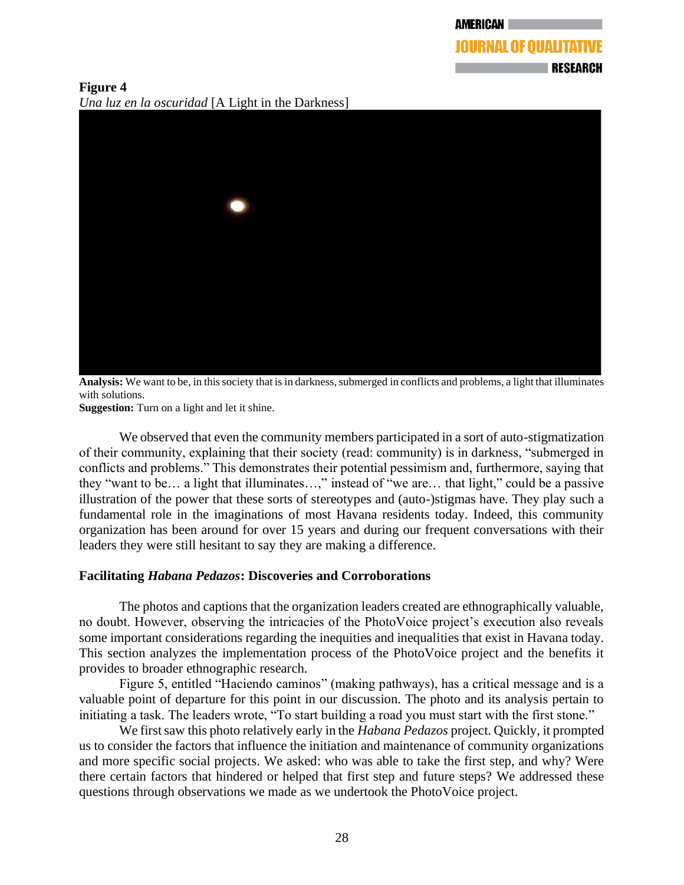**Figure 4** *Una luz en la oscuridad* [A Light in the Darkness]



**Analysis:** We want to be, in this society that is in darkness, submerged in conflicts and problems, a light that illuminates with solutions.

**Suggestion:** Turn on a light and let it shine.

We observed that even the community members participated in a sort of auto-stigmatization of their community, explaining that their society (read: community) is in darkness, "submerged in conflicts and problems." This demonstrates their potential pessimism and, furthermore, saying that they "want to be… a light that illuminates…," instead of "we are… that light," could be a passive illustration of the power that these sorts of stereotypes and (auto-)stigmas have. They play such a fundamental role in the imaginations of most Havana residents today. Indeed, this community organization has been around for over 15 years and during our frequent conversations with their leaders they were still hesitant to say they are making a difference.

# **Facilitating** *Habana Pedazos***: Discoveries and Corroborations**

The photos and captions that the organization leaders created are ethnographically valuable, no doubt. However, observing the intricacies of the PhotoVoice project's execution also reveals some important considerations regarding the inequities and inequalities that exist in Havana today. This section analyzes the implementation process of the PhotoVoice project and the benefits it provides to broader ethnographic research.

Figure 5, entitled "Haciendo caminos" (making pathways), has a critical message and is a valuable point of departure for this point in our discussion. The photo and its analysis pertain to initiating a task. The leaders wrote, "To start building a road you must start with the first stone."

We first saw this photo relatively early in the *Habana Pedazos* project. Quickly, it prompted us to consider the factors that influence the initiation and maintenance of community organizations and more specific social projects. We asked: who was able to take the first step, and why? Were there certain factors that hindered or helped that first step and future steps? We addressed these questions through observations we made as we undertook the PhotoVoice project.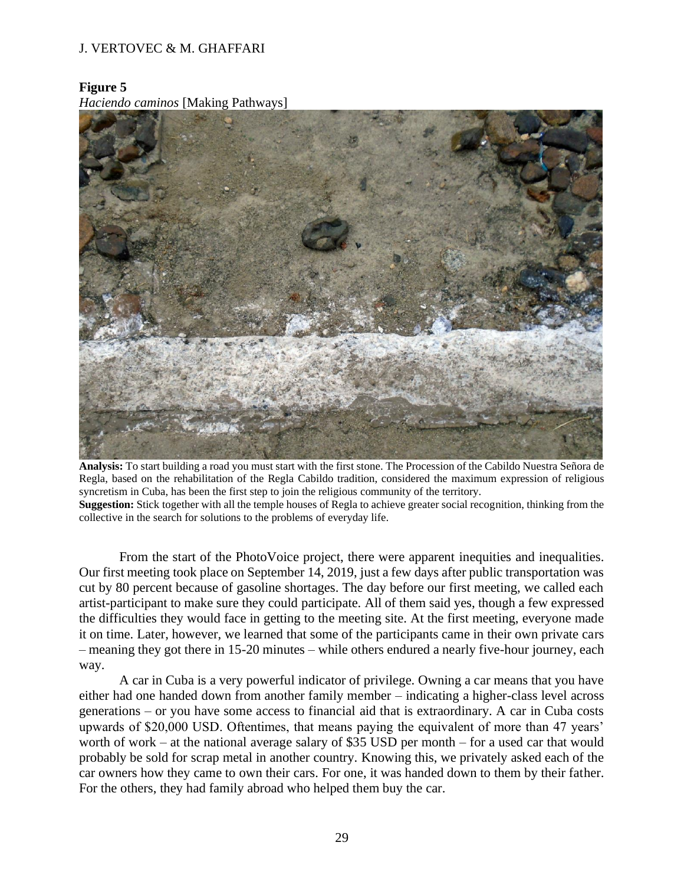# **Figure 5**

*Haciendo caminos* [Making Pathways]



**Analysis:** To start building a road you must start with the first stone. The Procession of the Cabildo Nuestra Señora de Regla, based on the rehabilitation of the Regla Cabildo tradition, considered the maximum expression of religious syncretism in Cuba, has been the first step to join the religious community of the territory.

**Suggestion:** Stick together with all the temple houses of Regla to achieve greater social recognition, thinking from the collective in the search for solutions to the problems of everyday life.

From the start of the PhotoVoice project, there were apparent inequities and inequalities. Our first meeting took place on September 14, 2019, just a few days after public transportation was cut by 80 percent because of gasoline shortages. The day before our first meeting, we called each artist-participant to make sure they could participate. All of them said yes, though a few expressed the difficulties they would face in getting to the meeting site. At the first meeting, everyone made it on time. Later, however, we learned that some of the participants came in their own private cars – meaning they got there in 15-20 minutes – while others endured a nearly five-hour journey, each way.

A car in Cuba is a very powerful indicator of privilege. Owning a car means that you have either had one handed down from another family member – indicating a higher-class level across generations – or you have some access to financial aid that is extraordinary. A car in Cuba costs upwards of \$20,000 USD. Oftentimes, that means paying the equivalent of more than 47 years' worth of work – at the national average salary of \$35 USD per month – for a used car that would probably be sold for scrap metal in another country. Knowing this, we privately asked each of the car owners how they came to own their cars. For one, it was handed down to them by their father. For the others, they had family abroad who helped them buy the car.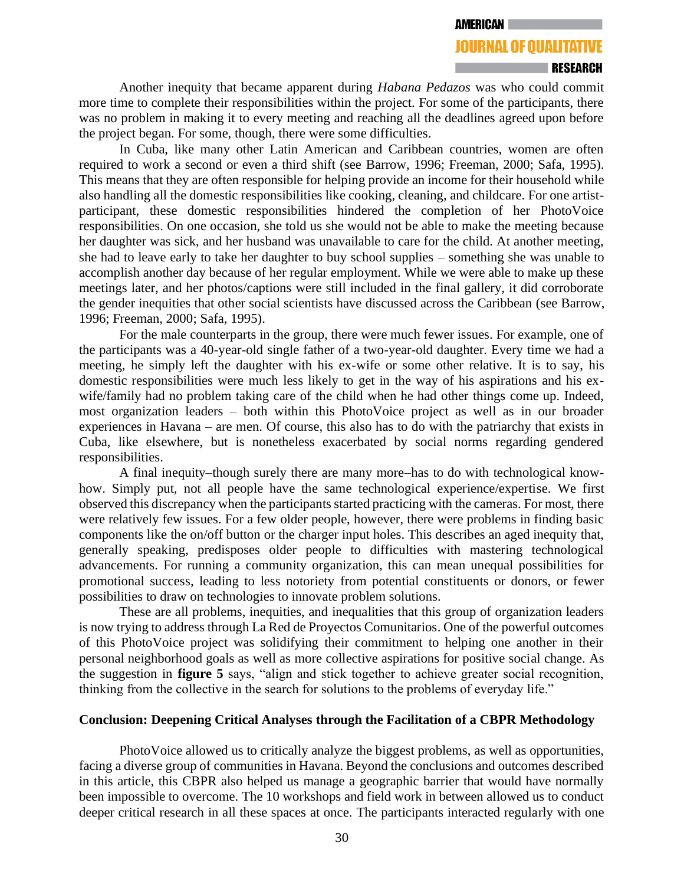#### RESEARCH

Another inequity that became apparent during *Habana Pedazos* was who could commit more time to complete their responsibilities within the project. For some of the participants, there was no problem in making it to every meeting and reaching all the deadlines agreed upon before the project began. For some, though, there were some difficulties.

In Cuba, like many other Latin American and Caribbean countries, women are often required to work a second or even a third shift (see Barrow, 1996; Freeman, 2000; Safa, 1995). This means that they are often responsible for helping provide an income for their household while also handling all the domestic responsibilities like cooking, cleaning, and childcare. For one artistparticipant, these domestic responsibilities hindered the completion of her PhotoVoice responsibilities. On one occasion, she told us she would not be able to make the meeting because her daughter was sick, and her husband was unavailable to care for the child. At another meeting, she had to leave early to take her daughter to buy school supplies – something she was unable to accomplish another day because of her regular employment. While we were able to make up these meetings later, and her photos/captions were still included in the final gallery, it did corroborate the gender inequities that other social scientists have discussed across the Caribbean (see Barrow, 1996; Freeman, 2000; Safa, 1995).

For the male counterparts in the group, there were much fewer issues. For example, one of the participants was a 40-year-old single father of a two-year-old daughter. Every time we had a meeting, he simply left the daughter with his ex-wife or some other relative. It is to say, his domestic responsibilities were much less likely to get in the way of his aspirations and his exwife/family had no problem taking care of the child when he had other things come up. Indeed, most organization leaders – both within this PhotoVoice project as well as in our broader experiences in Havana – are men. Of course, this also has to do with the patriarchy that exists in Cuba, like elsewhere, but is nonetheless exacerbated by social norms regarding gendered responsibilities.

A final inequity–though surely there are many more–has to do with technological knowhow. Simply put, not all people have the same technological experience/expertise. We first observed this discrepancy when the participants started practicing with the cameras. For most, there were relatively few issues. For a few older people, however, there were problems in finding basic components like the on/off button or the charger input holes. This describes an aged inequity that, generally speaking, predisposes older people to difficulties with mastering technological advancements. For running a community organization, this can mean unequal possibilities for promotional success, leading to less notoriety from potential constituents or donors, or fewer possibilities to draw on technologies to innovate problem solutions.

These are all problems, inequities, and inequalities that this group of organization leaders is now trying to address through La Red de Proyectos Comunitarios. One of the powerful outcomes of this PhotoVoice project was solidifying their commitment to helping one another in their personal neighborhood goals as well as more collective aspirations for positive social change. As the suggestion in **figure 5** says, "align and stick together to achieve greater social recognition, thinking from the collective in the search for solutions to the problems of everyday life."

## **Conclusion: Deepening Critical Analyses through the Facilitation of a CBPR Methodology**

PhotoVoice allowed us to critically analyze the biggest problems, as well as opportunities, facing a diverse group of communities in Havana. Beyond the conclusions and outcomes described in this article, this CBPR also helped us manage a geographic barrier that would have normally been impossible to overcome. The 10 workshops and field work in between allowed us to conduct deeper critical research in all these spaces at once. The participants interacted regularly with one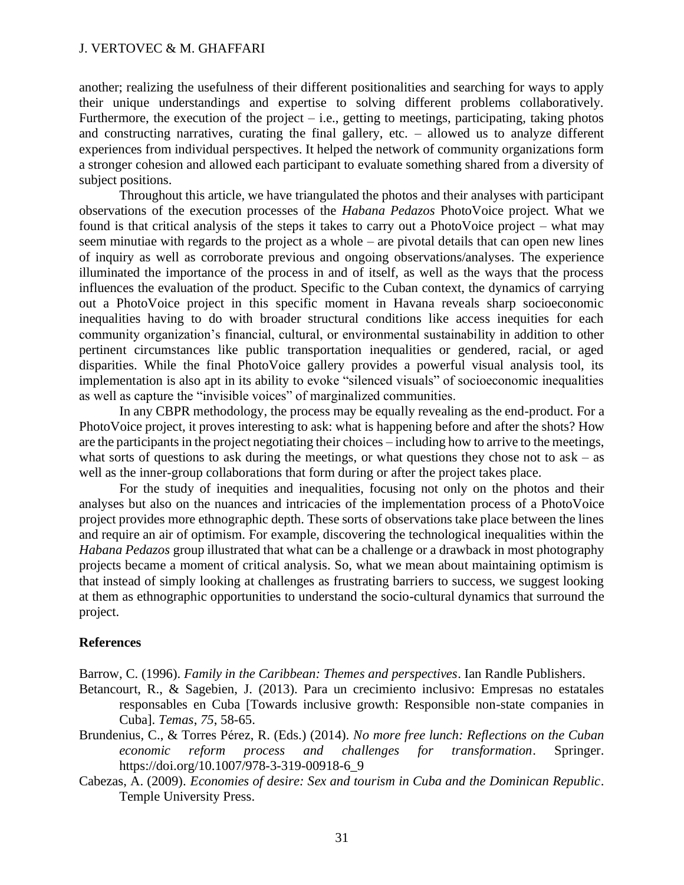another; realizing the usefulness of their different positionalities and searching for ways to apply their unique understandings and expertise to solving different problems collaboratively. Furthermore, the execution of the project  $-$  i.e., getting to meetings, participating, taking photos and constructing narratives, curating the final gallery, etc. – allowed us to analyze different experiences from individual perspectives. It helped the network of community organizations form a stronger cohesion and allowed each participant to evaluate something shared from a diversity of subject positions.

Throughout this article, we have triangulated the photos and their analyses with participant observations of the execution processes of the *Habana Pedazos* PhotoVoice project. What we found is that critical analysis of the steps it takes to carry out a PhotoVoice project – what may seem minutiae with regards to the project as a whole – are pivotal details that can open new lines of inquiry as well as corroborate previous and ongoing observations/analyses. The experience illuminated the importance of the process in and of itself, as well as the ways that the process influences the evaluation of the product. Specific to the Cuban context, the dynamics of carrying out a PhotoVoice project in this specific moment in Havana reveals sharp socioeconomic inequalities having to do with broader structural conditions like access inequities for each community organization's financial, cultural, or environmental sustainability in addition to other pertinent circumstances like public transportation inequalities or gendered, racial, or aged disparities. While the final PhotoVoice gallery provides a powerful visual analysis tool, its implementation is also apt in its ability to evoke "silenced visuals" of socioeconomic inequalities as well as capture the "invisible voices" of marginalized communities.

In any CBPR methodology, the process may be equally revealing as the end-product. For a PhotoVoice project, it proves interesting to ask: what is happening before and after the shots? How are the participants in the project negotiating their choices – including how to arrive to the meetings, what sorts of questions to ask during the meetings, or what questions they chose not to  $ask - as$ well as the inner-group collaborations that form during or after the project takes place.

For the study of inequities and inequalities, focusing not only on the photos and their analyses but also on the nuances and intricacies of the implementation process of a PhotoVoice project provides more ethnographic depth. These sorts of observations take place between the lines and require an air of optimism. For example, discovering the technological inequalities within the *Habana Pedazos* group illustrated that what can be a challenge or a drawback in most photography projects became a moment of critical analysis. So, what we mean about maintaining optimism is that instead of simply looking at challenges as frustrating barriers to success, we suggest looking at them as ethnographic opportunities to understand the socio-cultural dynamics that surround the project.

## **References**

Barrow, C. (1996). *Family in the Caribbean: Themes and perspectives*. Ian Randle Publishers.

- Betancourt, R., & Sagebien, J. (2013). Para un crecimiento inclusivo: Empresas no estatales responsables en Cuba [Towards inclusive growth: Responsible non-state companies in Cuba]. *Temas*, *75*, 58-65.
- Brundenius, C., & Torres Pérez, R. (Eds.) (2014). *No more free lunch: Reflections on the Cuban economic reform process and challenges for transformation*. Springer. https://doi.org/10.1007/978-3-319-00918-6\_9
- Cabezas, A. (2009). *Economies of desire: Sex and tourism in Cuba and the Dominican Republic*. Temple University Press.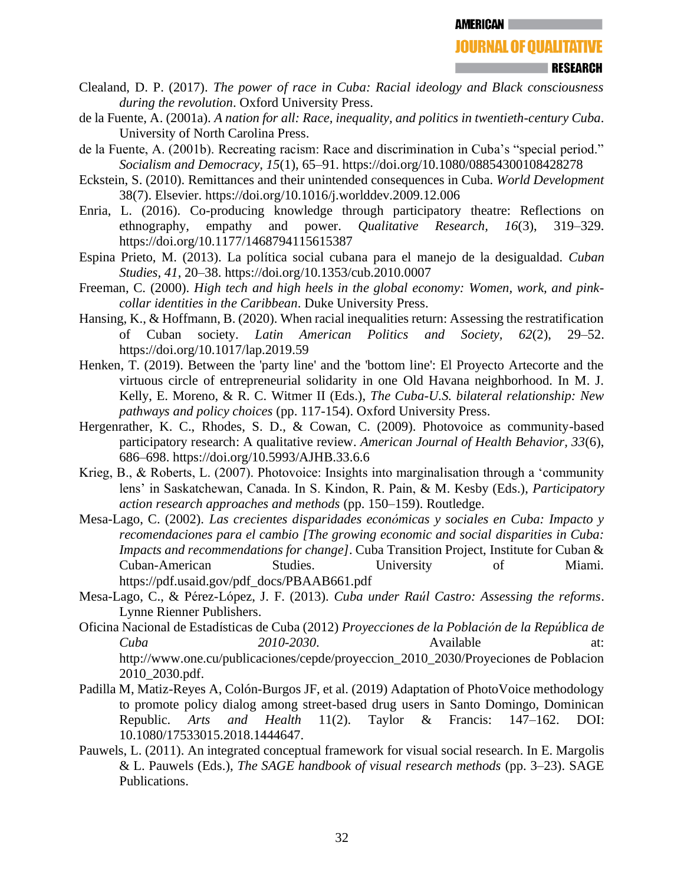- Clealand, D. P. (2017). *The power of race in Cuba: Racial ideology and Black consciousness during the revolution*. Oxford University Press.
- de la Fuente, A. (2001a). *A nation for all: Race, inequality, and politics in twentieth-century Cuba*. University of North Carolina Press.
- de la Fuente, A. (2001b). Recreating racism: Race and discrimination in Cuba's "special period." *Socialism and Democracy, 15*(1), 65–91. https://doi.org/10.1080/08854300108428278
- Eckstein, S. (2010). Remittances and their unintended consequences in Cuba. *World Development*  38(7). Elsevier. https://doi.org/10.1016/j.worlddev.2009.12.006
- Enria, L. (2016). Co-producing knowledge through participatory theatre: Reflections on ethnography, empathy and power. *Qualitative Research, 16*(3), 319–329. https://doi.org/10.1177/1468794115615387
- Espina Prieto, M. (2013). La política social cubana para el manejo de la desigualdad. *Cuban Studies, 41*, 20–38. https://doi.org/10.1353/cub.2010.0007
- Freeman, C. (2000). *High tech and high heels in the global economy: Women, work, and pinkcollar identities in the Caribbean*. Duke University Press.
- Hansing, K., & Hoffmann, B. (2020). When racial inequalities return: Assessing the restratification of Cuban society. *Latin American Politics and Society, 62*(2), 29–52. https://doi.org/10.1017/lap.2019.59
- Henken, T. (2019). Between the 'party line' and the 'bottom line': El Proyecto Artecorte and the virtuous circle of entrepreneurial solidarity in one Old Havana neighborhood. In M. J. Kelly, E. Moreno, & R. C. Witmer II (Eds.), *The Cuba-U.S. bilateral relationship: New pathways and policy choices* (pp. 117-154). Oxford University Press.
- Hergenrather, K. C., Rhodes, S. D., & Cowan, C. (2009). Photovoice as community-based participatory research: A qualitative review. *American Journal of Health Behavior, 33*(6), 686–698. https://doi.org/10.5993/AJHB.33.6.6
- Krieg, B., & Roberts, L. (2007). Photovoice: Insights into marginalisation through a 'community lens' in Saskatchewan, Canada. In S. Kindon, R. Pain, & M. Kesby (Eds.), *Participatory action research approaches and methods* (pp. 150–159). Routledge.
- Mesa-Lago, C. (2002). *Las crecientes disparidades económicas y sociales en Cuba: Impacto y recomendaciones para el cambio [The growing economic and social disparities in Cuba: Impacts and recommendations for change]*. Cuba Transition Project, Institute for Cuban & Cuban-American Studies. University of Miami. https://pdf.usaid.gov/pdf\_docs/PBAAB661.pdf
- Mesa-Lago, C., & Pérez-López, J. F. (2013). *Cuba under Raúl Castro: Assessing the reforms*. Lynne Rienner Publishers.
- Oficina Nacional de Estadísticas de Cuba (2012) *Proyecciones de la Población de la República de Cuba 2010-2030*. Available at: http://www.one.cu/publicaciones/cepde/proyeccion\_2010\_2030/Proyeciones de Poblacion 2010\_2030.pdf.
- Padilla M, Matiz-Reyes A, Colón-Burgos JF, et al. (2019) Adaptation of PhotoVoice methodology to promote policy dialog among street-based drug users in Santo Domingo, Dominican Republic. *Arts and Health* 11(2). Taylor & Francis: 147–162. DOI: 10.1080/17533015.2018.1444647.
- Pauwels, L. (2011). An integrated conceptual framework for visual social research. In E. Margolis & L. Pauwels (Eds.), *The SAGE handbook of visual research methods* (pp. 3–23). SAGE Publications.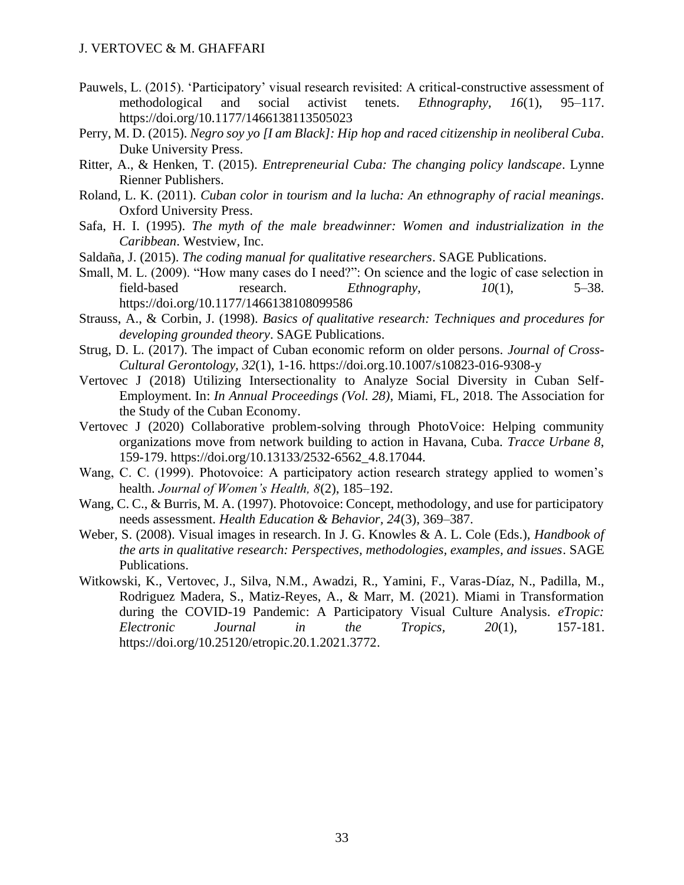- Pauwels, L. (2015). 'Participatory' visual research revisited: A critical-constructive assessment of methodological and social activist tenets. *Ethnography, 16*(1), 95–117. https://doi.org/10.1177/1466138113505023
- Perry, M. D. (2015). *Negro soy yo [I am Black]: Hip hop and raced citizenship in neoliberal Cuba*. Duke University Press.
- Ritter, A., & Henken, T. (2015). *Entrepreneurial Cuba: The changing policy landscape*. Lynne Rienner Publishers.
- Roland, L. K. (2011). *Cuban color in tourism and la lucha: An ethnography of racial meanings*. Oxford University Press.
- Safa, H. I. (1995). *The myth of the male breadwinner: Women and industrialization in the Caribbean*. Westview, Inc.
- Saldaña, J. (2015). *The coding manual for qualitative researchers*. SAGE Publications.
- Small, M. L. (2009). "How many cases do I need?": On science and the logic of case selection in field-based research. *Ethnography, 10*(1), 5–38. https://doi.org/10.1177/1466138108099586
- Strauss, A., & Corbin, J. (1998). *Basics of qualitative research: Techniques and procedures for developing grounded theory*. SAGE Publications.
- Strug, D. L. (2017). The impact of Cuban economic reform on older persons. *Journal of Cross-Cultural Gerontology, 32*(1), 1-16. https://doi.org.10.1007/s10823-016-9308-y
- Vertovec J (2018) Utilizing Intersectionality to Analyze Social Diversity in Cuban Self-Employment. In: *In Annual Proceedings (Vol. 28)*, Miami, FL, 2018. The Association for the Study of the Cuban Economy.
- Vertovec J (2020) Collaborative problem-solving through PhotoVoice: Helping community organizations move from network building to action in Havana, Cuba. *Tracce Urbane 8*, 159-179. [https://doi.org/10.13133/2532-6562\\_4.8.17044.](https://doi.org/10.13133/2532-6562_4.8.17044)
- Wang, C. C. (1999). Photovoice: A participatory action research strategy applied to women's health. *Journal of Women's Health, 8*(2), 185–192.
- Wang, C. C., & Burris, M. A. (1997). Photovoice: Concept, methodology, and use for participatory needs assessment. *Health Education & Behavior, 24*(3), 369–387.
- Weber, S. (2008). Visual images in research. In J. G. Knowles & A. L. Cole (Eds.), *Handbook of the arts in qualitative research: Perspectives, methodologies, examples, and issues*. SAGE Publications.
- Witkowski, K., Vertovec, J., Silva, N.M., Awadzi, R., Yamini, F., Varas-Díaz, N., Padilla, M., Rodriguez Madera, S., Matiz-Reyes, A., & Marr, M. (2021). Miami in Transformation during the COVID-19 Pandemic: A Participatory Visual Culture Analysis. *eTropic: Electronic Journal in the Tropics, 20*(1), 157-181. [https://doi.org/10.25120/etropic.20.1.2021.3772.](https://doi.org/10.25120/etropic.20.1.2021.3772)